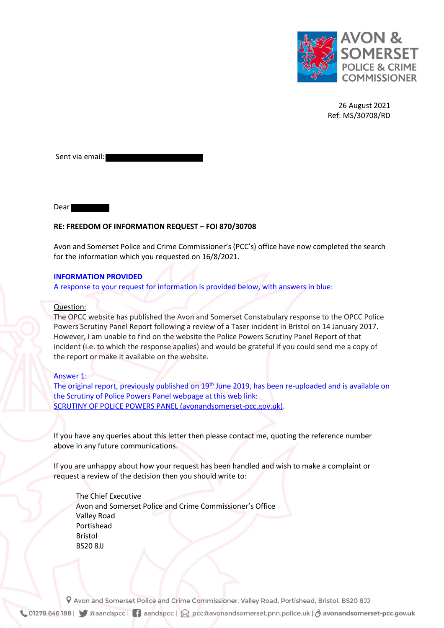

26 August 2021 Ref: MS/30708/RD

Sent via email:

Dear

## **RE: FREEDOM OF INFORMATION REQUEST – FOI 870/30708**

Avon and Somerset Police and Crime Commissioner's (PCC's) office have now completed the search for the information which you requested on 16/8/2021.

## **INFORMATION PROVIDED**

A response to your request for information is provided below, with answers in blue:

## Question:

The OPCC website has published the Avon and Somerset Constabulary response to the OPCC Police Powers Scrutiny Panel Report following a review of a Taser incident in Bristol on 14 January 2017. However, I am unable to find on the website the Police Powers Scrutiny Panel Report of that incident (i.e. to which the response applies) and would be grateful if you could send me a copy of the report or make it available on the website.

## Answer 1:

The original report, previously published on 19<sup>th</sup> June 2019, has been re-uploaded and is available on the Scrutiny of Police Powers Panel webpage at this web link: [SCRUTINY OF POLICE POWERS PANEL \(avonandsomerset-pcc.gov.uk\).](https://www.avonandsomerset-pcc.gov.uk/wp-content/uploads/2021/08/Taser-Case-Scrutiny-Panel-Jan-2017-Report-Jun-2019.pdf)

If you have any queries about this letter then please contact me, quoting the reference number above in any future communications.

If you are unhappy about how your request has been handled and wish to make a complaint or request a review of the decision then you should write to:

 The Chief Executive Avon and Somerset Police and Crime Commissioner's Office Valley Road Portishead Bristol BS20 8JJ

P Avon and Somerset Police and Crime Commissioner, Valley Road, Portishead, Bristol. BS20 8JJ ↓ 01278 646 188 | ● ◎aandspcc | ● aandspcc | ☆ pcc@avonandsomerset.pnn.police.uk | ♂ avonandsomerset-pcc.gov.uk